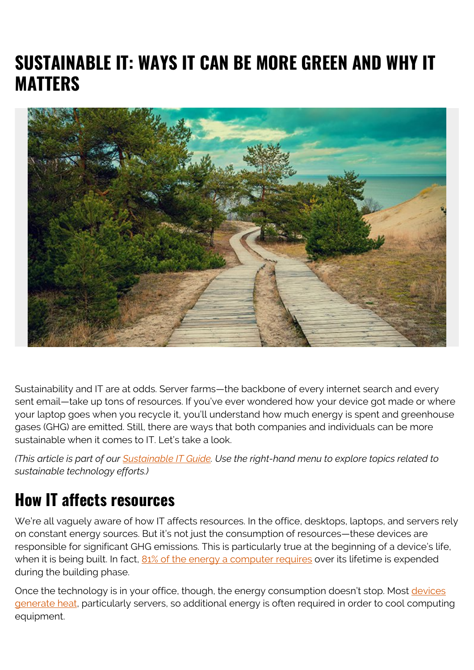# **SUSTAINABLE IT: WAYS IT CAN BE MORE GREEN AND WHY IT MATTERS**



Sustainability and IT are at odds. Server farms—the backbone of every internet search and every sent email—take up tons of resources. If you've ever wondered how your device got made or where your laptop goes when you recycle it, you'll understand how much energy is spent and greenhouse gases (GHG) are emitted. Still, there are ways that both companies and individuals can be more sustainable when it comes to IT. Let's take a look.

*(This article is part of our [Sustainable IT Guide](https://blogs.bmc.com/blogs/sustainable-it/). Use the right-hand menu to explore topics related to sustainable technology efforts.)*

### **How IT affects resources**

We're all vaguely aware of how IT affects resources. In the office, desktops, laptops, and servers rely on constant energy sources. But it's not just the consumption of resources—these devices are responsible for significant GHG emissions. This is particularly true at the beginning of a device's life, when it is being built. In fact, [81% of the energy a computer requires](http://www.digitalresponsibility.org/technology-depleting-resources-and-pollution) over its lifetime is expended during the building phase.

Once the technology is in your office, though, the energy consumption doesn't stop. Most [devices](https://sustainable.stanford.edu/sustainable-it) [generate heat,](https://sustainable.stanford.edu/sustainable-it) particularly servers, so additional energy is often required in order to cool computing equipment.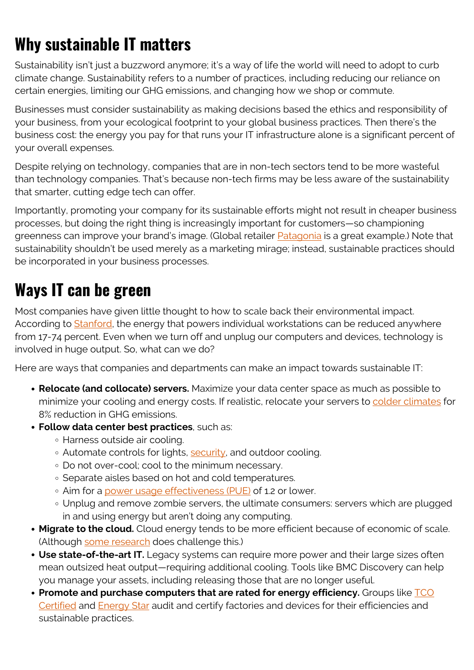## **Why sustainable IT matters**

Sustainability isn't just a buzzword anymore; it's a way of life the world will need to adopt to curb climate change. Sustainability refers to a number of practices, including reducing our reliance on certain energies, limiting our GHG emissions, and changing how we shop or commute.

Businesses must consider sustainability as making decisions based the ethics and responsibility of your business, from your ecological footprint to your global business practices. Then there's the business cost: the energy you pay for that runs your IT infrastructure alone is a significant percent of your overall expenses.

Despite relying on technology, companies that are in non-tech sectors tend to be more wasteful than technology companies. That's because non-tech firms may be less aware of the sustainability that smarter, cutting edge tech can offer.

Importantly, promoting your company for its sustainable efforts might not result in cheaper business processes, but doing the right thing is increasingly important for customers—so championing greenness can improve your brand's image. (Global retailer **Patagonia** is a great example.) Note that sustainability shouldn't be used merely as a marketing mirage; instead, sustainable practices should be incorporated in your business processes.

## **Ways IT can be green**

Most companies have given little thought to how to scale back their environmental impact. According to **Stanford**, the energy that powers individual workstations can be reduced anywhere from 17-74 percent. Even when we turn off and unplug our computers and devices, technology is involved in huge output. So, what can we do?

Here are ways that companies and departments can make an impact towards sustainable IT:

- **Relocate (and collocate) servers.** Maximize your data center space as much as possible to minimize your cooling and energy costs. If realistic, relocate your servers to [colder climates](https://www.theguardian.com/sustainable-business/technology-strategy-cut-data-emission) for 8% reduction in GHG emissions.
- **Follow data center best practices**, such as:
	- Harness outside air cooling.
	- Automate controls for lights, [security](https://blogs.bmc.com/blogs/security-vulnerability-vs-threat-vs-risk-whats-difference/), and outdoor cooling.
	- Do not over-cool; cool to the minimum necessary.
	- o Separate aisles based on hot and cold temperatures.
	- o Aim for a [power usage effectiveness \(PUE\)](https://www.nrel.gov/computational-science/measuring-efficiency-pue.html) of 1.2 or lower.
	- Unplug and remove zombie servers, the ultimate consumers: servers which are plugged in and using energy but aren't doing any computing.
- **Migrate to the cloud.** Cloud energy tends to be more efficient because of economic of scale. (Although [some research](https://arxiv.org/ftp/arxiv/papers/1805/1805.01765.pdf) does challenge this.)
- **Use state-of-the-art IT.** Legacy systems can require more power and their large sizes often mean outsized heat output—requiring additional cooling. Tools like BMC Discovery can help you manage your assets, including releasing those that are no longer useful.
- **Promote and purchase computers that are rated for energy efficiency.** Groups like **[TCO](https://tcocertified.com/tco-certified/)** [Certified](https://tcocertified.com/tco-certified/) and [Energy Star](https://www.energystar.gov/) audit and certify factories and devices for their efficiencies and sustainable practices.